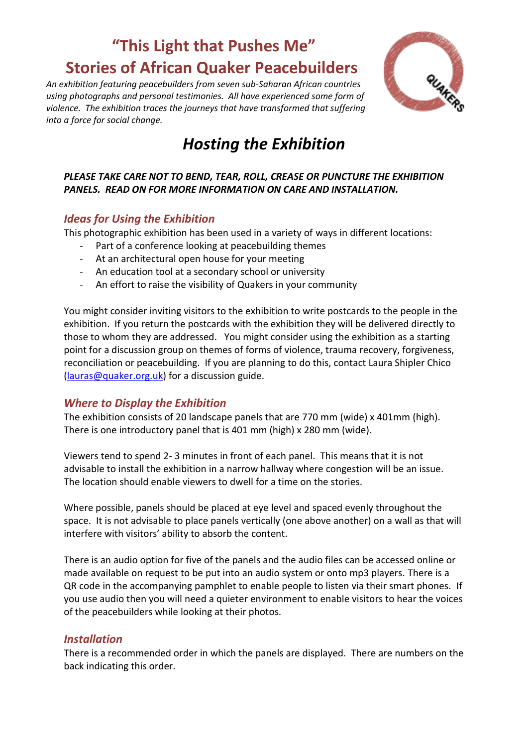# **"This Light that Pushes Me" Stories of African Quaker Peacebuilders**

*An exhibition featuring peacebuilders from seven sub-Saharan African countries using photographs and personal testimonies. All have experienced some form of violence. The exhibition traces the journeys that have transformed that suffering into a force for social change.*



# *Hosting the Exhibition*

### *PLEASE TAKE CARE NOT TO BEND, TEAR, ROLL, CREASE OR PUNCTURE THE EXHIBITION PANELS. READ ON FOR MORE INFORMATION ON CARE AND INSTALLATION.*

## *Ideas for Using the Exhibition*

This photographic exhibition has been used in a variety of ways in different locations:

- Part of a conference looking at peacebuilding themes
- At an architectural open house for your meeting
- An education tool at a secondary school or university
- An effort to raise the visibility of Quakers in your community

You might consider inviting visitors to the exhibition to write postcards to the people in the exhibition. If you return the postcards with the exhibition they will be delivered directly to those to whom they are addressed. You might consider using the exhibition as a starting point for a discussion group on themes of forms of violence, trauma recovery, forgiveness, reconciliation or peacebuilding. If you are planning to do this, contact Laura Shipler Chico  $(lauras@quaker.org.uk)$  for a discussion guide.

## *Where to Display the Exhibition*

The exhibition consists of 20 landscape panels that are 770 mm (wide) x 401mm (high). There is one introductory panel that is 401 mm (high) x 280 mm (wide).

Viewers tend to spend 2- 3 minutes in front of each panel. This means that it is not advisable to install the exhibition in a narrow hallway where congestion will be an issue. The location should enable viewers to dwell for a time on the stories.

Where possible, panels should be placed at eye level and spaced evenly throughout the space. It is not advisable to place panels vertically (one above another) on a wall as that will interfere with visitors' ability to absorb the content.

There is an audio option for five of the panels and the audio files can be accessed online or made available on request to be put into an audio system or onto mp3 players. There is a QR code in the accompanying pamphlet to enable people to listen via their smart phones. If you use audio then you will need a quieter environment to enable visitors to hear the voices of the peacebuilders while looking at their photos.

### *Installation*

There is a recommended order in which the panels are displayed. There are numbers on the back indicating this order.